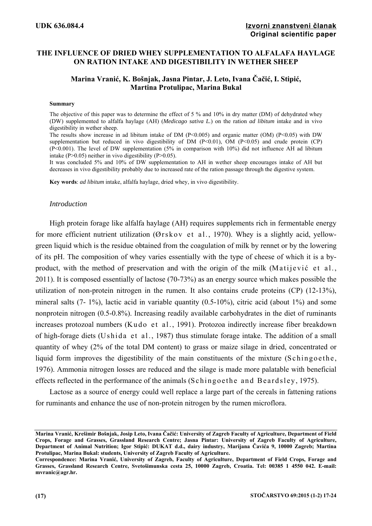# **THE INFLUENCE OF DRIED WHEY SUPPLEMENTATION TO ALFALAFA HAYLAGE ON RATION INTAKE AND DIGESTIBILITY IN WETHER SHEEP**

# **Marina Vranić, K. Bošnjak, Jasna Pintar, J. Leto, Ivana Čačić, I. Stipić, Martina Protulipac, Marina Bukal**

#### **Summary**

The objective of this paper was to determine the effect of 5 % and 10% in dry matter (DM) of dehydrated whey (DW) supplemented to alfalfa haylage (AH) (*Medicago sativa L.*) on the ration *ad libitum* intake and in vivo digestibility in wether sheep.

The results show increase in ad libitum intake of DM ( $P<0.005$ ) and organic matter (OM) ( $P<0.05$ ) with DW supplementation but reduced in vivo digestibility of DM  $(P< 0.01)$ , OM  $(P< 0.05)$  and crude protein (CP) (P<0.001). The level of DW supplementation (5% in comparison with 10%) did not influence AH ad libitum intake ( $P > 0.05$ ) neither in vivo digestibility ( $P > 0.05$ ).

It was concluded 5% and 10% of DW supplementation to AH in wether sheep encourages intake of AH but decreases in vivo digestibility probably due to increased rate of the ration passage through the digestive system.

**Key words**: *ad libitum* intake, alfalfa haylage, dried whey, in vivo digestibility.

#### *Introduction*

High protein forage like alfalfa haylage (AH) requires supplements rich in fermentable energy for more efficient nutrient utilization (Ørskov et al., 1970). Whey is a slightly acid, yellowgreen liquid which is the residue obtained from the coagulation of milk by rennet or by the lowering of its pH. The composition of whey varies essentially with the type of cheese of which it is a byproduct, with the method of preservation and with the origin of the milk (Matijević et al., 2011). It is composed essentially of lactose (70-73%) as an energy source which makes possible the utilization of non-protein nitrogen in the rumen. It also contains crude proteins (CP) (12-13%), mineral salts (7- 1%), lactic acid in variable quantity (0.5-10%), citric acid (about 1%) and some nonprotein nitrogen (0.5-0.8%). Increasing readily available carbohydrates in the diet of ruminants increases protozoal numbers (Kudo et al., 1991). Protozoa indirectly increase fiber breakdown of high-forage diets (Ushida et al., 1987) thus stimulate forage intake. The addition of a small quantity of whey (2% of the total DM content) to grass or maize silage in dried, concentrated or liquid form improves the digestibility of the main constituents of the mixture (Schingoethe, 1976). Ammonia nitrogen losses are reduced and the silage is made more palatable with beneficial effects reflected in the performance of the animals (Schingoethe and Beardsley, 1975).

Lactose as a source of energy could well replace a large part of the cereals in fattening rations for ruminants and enhance the use of non-protein nitrogen by the rumen microflora.

**Marina Vranić, Krešimir Bošnjak, Josip Leto, Ivana Čačić: University of Zagreb Faculty of Agriculture, Department of Field Crops, Forage and Grasses, Grassland Research Centre; Jasna Pintar: University of Zagreb Faculty of Agriculture, Department of Animal Nutrition; Igor Stipić: DUKAT d.d., dairy industry, Marijana Čavića 9, 10000 Zagreb; Martina Protulipac, Marina Bukal: students, University of Zagreb Faculty of Agriculture.** 

**Correspondence: Marina Vranić, University of Zagreb, Faculty of Agriculture, Department of Field Crops, Forage and Grasses, Grassland Research Centre, Svetošimunska cesta 25, 10000 Zagreb, Croatia. Tel: 00385 1 4550 042. E-mail: mvranic@agr.hr.**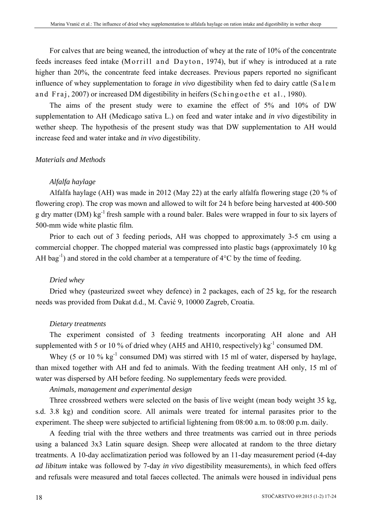For calves that are being weaned, the introduction of whey at the rate of 10% of the concentrate feeds increases feed intake (Morrill and Dayton, 1974), but if whey is introduced at a rate higher than 20%, the concentrate feed intake decreases. Previous papers reported no significant influence of whey supplementation to forage *in vivo* digestibility when fed to dairy cattle (Salem and Fraj, 2007) or increased DM digestibility in heifers (Schingoethe et al., 1980).

The aims of the present study were to examine the effect of 5% and 10% of DW supplementation to AH (Medicago sativa L.) on feed and water intake and *in vivo* digestibility in wether sheep. The hypothesis of the present study was that DW supplementation to AH would increase feed and water intake and *in vivo* digestibility.

## *Materials and Methods*

# *Alfalfa haylage*

Alfalfa haylage (AH) was made in 2012 (May 22) at the early alfalfa flowering stage (20 % of flowering crop). The crop was mown and allowed to wilt for 24 h before being harvested at 400-500 g dry matter (DM) kg-1 fresh sample with a round baler. Bales were wrapped in four to six layers of 500-mm wide white plastic film.

Prior to each out of 3 feeding periods, AH was chopped to approximately 3-5 cm using a commercial chopper. The chopped material was compressed into plastic bags (approximately 10 kg AH bag<sup>-1</sup>) and stored in the cold chamber at a temperature of  $4^{\circ}$ C by the time of feeding.

# *Dried whey*

Dried whey (pasteurized sweet whey defence) in 2 packages, each of 25 kg, for the research needs was provided from Dukat d.d., M. Čavić 9, 10000 Zagreb, Croatia.

# *Dietary treatments*

The experiment consisted of 3 feeding treatments incorporating AH alone and AH supplemented with 5 or 10 % of dried whey (AH5 and AH10, respectively) kg<sup>-1</sup> consumed DM.

Whey (5 or 10  $\%$  kg<sup>-1</sup> consumed DM) was stirred with 15 ml of water, dispersed by haylage, than mixed together with AH and fed to animals. With the feeding treatment AH only, 15 ml of water was dispersed by AH before feeding. No supplementary feeds were provided.

## *Animals, management and experimental design*

Three crossbreed wethers were selected on the basis of live weight (mean body weight 35 kg, s.d. 3.8 kg) and condition score. All animals were treated for internal parasites prior to the experiment. The sheep were subjected to artificial lightening from 08:00 a.m. to 08:00 p.m. daily.

A feeding trial with the three wethers and three treatments was carried out in three periods using a balanced 3x3 Latin square design. Sheep were allocated at random to the three dietary treatments. A 10-day acclimatization period was followed by an 11-day measurement period (4-day *ad libitum* intake was followed by 7-day *in vivo* digestibility measurements), in which feed offers and refusals were measured and total faeces collected. The animals were housed in individual pens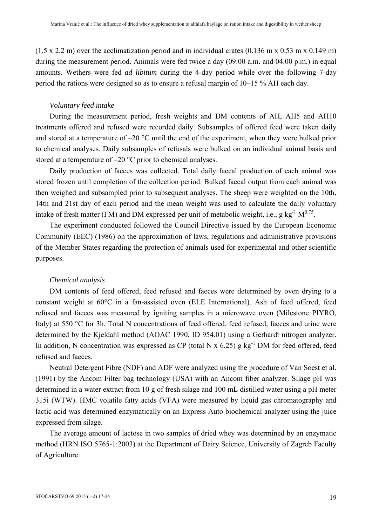$(1.5 \times 2.2 \text{ m})$  over the acclimatization period and in individual crates  $(0.136 \text{ m} \times 0.53 \text{ m} \times 0.149 \text{ m})$ during the measurement period. Animals were fed twice a day (09:00 a.m. and 04.00 p.m.) in equal amounts. Wethers were fed *ad libitum* during the 4-day period while over the following 7-day period the rations were designed so as to ensure a refusal margin of 10–15 % AH each day.

## *Voluntary feed intake*

During the measurement period, fresh weights and DM contents of AH, AH5 and AH10 treatments offered and refused were recorded daily. Subsamples of offered feed were taken daily and stored at a temperature of  $-20$  °C until the end of the experiment, when they were bulked prior to chemical analyses. Daily subsamples of refusals were bulked on an individual animal basis and stored at a temperature of –20 °C prior to chemical analyses.

Daily production of faeces was collected. Total daily faecal production of each animal was stored frozen until completion of the collection period. Bulked faecal output from each animal was then weighed and subsampled prior to subsequent analyses. The sheep were weighted on the 10th, 14th and 21st day of each period and the mean weight was used to calculate the daily voluntary intake of fresh matter (FM) and DM expressed per unit of metabolic weight, i.e., g kg<sup>-1</sup>  $M^{0.75}$ .

The experiment conducted followed the Council Directive issued by the European Economic Community (EEC) (1986) on the approximation of laws, regulations and administrative provisions of the Member States regarding the protection of animals used for experimental and other scientific purposes.

## *Chemical analysis*

DM contents of feed offered, feed refused and faeces were determined by oven drying to a constant weight at 60°C in a fan-assisted oven (ELE International). Ash of feed offered, feed refused and faeces was measured by igniting samples in a microwave oven (Milestone PIYRO, Italy) at 550 °C for 3h. Total N concentrations of feed offered, feed refused, faeces and urine were determined by the Kjeldahl method (AOAC 1990, ID 954.01) using a Gerhardt nitrogen analyzer. In addition, N concentration was expressed as CP (total N x  $6.25$ ) g kg<sup>-1</sup> DM for feed offered, feed refused and faeces.

Neutral Detergent Fibre (NDF) and ADF were analyzed using the procedure of Van Soest et al. (1991) by the Ancom Filter bag technology (USA) with an Ancom fiber analyzer. Silage pH was determined in a water extract from 10 g of fresh silage and 100 mL distilled water using a pH meter 315i (WTW). HMC volatile fatty acids (VFA) were measured by liquid gas chromatography and lactic acid was determined enzymatically on an Express Auto biochemical analyzer using the juice expressed from silage.

The average amount of lactose in two samples of dried whey was determined by an enzymatic method (HRN ISO 5765-1:2003) at the Department of Dairy Science, University of Zagreb Faculty of Agriculture.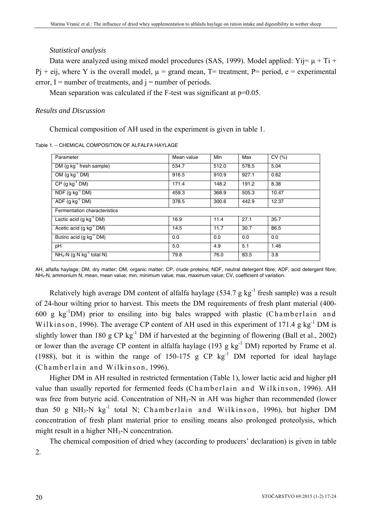#### *Statistical analysis*

Data were analyzed using mixed model procedures (SAS, 1999). Model applied: Yij=  $\mu$  + Ti +  $Pi + eij$ , where Y is the overall model,  $\mu$  = grand mean, T= treatment, P= period, e = experimental error,  $I =$  number of treatments, and  $i =$  number of periods.

Mean separation was calculated if the F-test was significant at  $p=0.05$ .

## *Results and Discussion*

Chemical composition of AH used in the experiment is given in table 1.

Table 1. – CHEMICAL COMPOSITION OF ALFALFA HAYLAGE

| Parameter                              | Mean value | Min   | Max   | CV(%) |
|----------------------------------------|------------|-------|-------|-------|
| DM $(g kg^{-1}$ fresh sample)          | 534.7      | 512.0 | 578.5 | 5.04  |
| OM $(g kg^{-1} DM)$                    | 916.5      | 910.9 | 927.1 | 0.62  |
| $CP$ (g kg <sup>-1</sup> DM)           | 171.4      | 148.2 | 191.2 | 8.38  |
| $NDF$ (g kg <sup>-1</sup> DM)          | 459.3      | 368.9 | 505.3 | 10.47 |
| ADF $(g kg^{-1} DM)$                   | 378.5      | 300.6 | 442.9 | 12.37 |
| Fermentation characteristics           |            |       |       |       |
| Lactic acid $(g kg^{-1} DM)$           | 16.9       | 11.4  | 27.1  | 35.7  |
| Acetic acid (g $kg^{-1}$ DM)           | 14.5       | 11.7  | 30.7  | 86.5  |
| Butiric acid (g kg <sup>-1</sup> DM)   | 0.0        | 0.0   | 0.0   | 0.0   |
| pH                                     | 5.0        | 4.9   | 5.1   | 1.46  |
| $NH3-N$ (q N kg <sup>-1</sup> total N) | 79.8       | 76.0  | 83.5  | 3.8   |

AH, alfalfa haylage; DM, dry matter; OM, organic matter; CP, crude proteins; NDF, neutral detergent fibre; ADF, acid detergent fibre; NH3-N, ammonium N; mean, mean value; min, minimum value; max, maximum value; CV, coefficient of variation.

Relatively high average DM content of alfalfa haylage (534.7 g kg<sup>-1</sup> fresh sample) was a result of 24-hour wilting prior to harvest. This meets the DM requirements of fresh plant material (400- 600 g  $kg^{-1}$ DM) prior to ensiling into big bales wrapped with plastic (Chamberlain and Wilkinson, 1996). The average CP content of AH used in this experiment of 171.4 g  $kg^{-1}$  DM is slightly lower than 180 g CP kg<sup>-1</sup> DM if harvested at the beginning of flowering (Ball et al., 2002) or lower than the average CP content in alfalfa haylage (193 g  $kg^{-1}$  DM) reported by Frame et al. (1988), but it is within the range of 150-175 g CP  $kg^{-1}$  DM reported for ideal haylage (Chamberlain and Wilkinson, 1996).

Higher DM in AH resulted in restricted fermentation (Table 1), lower lactic acid and higher pH value than usually reported for fermented feeds (Chamberlain and Wilkinson, 1996). AH was free from butyric acid. Concentration of NH<sub>3</sub>-N in AH was higher than recommended (lower than 50 g NH<sub>3</sub>-N kg<sup>-1</sup> total N; Chamberlain and Wilkinson, 1996), but higher DM concentration of fresh plant material prior to ensiling means also prolonged proteolysis, which might result in a higher NH<sub>3</sub>-N concentration.

The chemical composition of dried whey (according to producers' declaration) is given in table 2.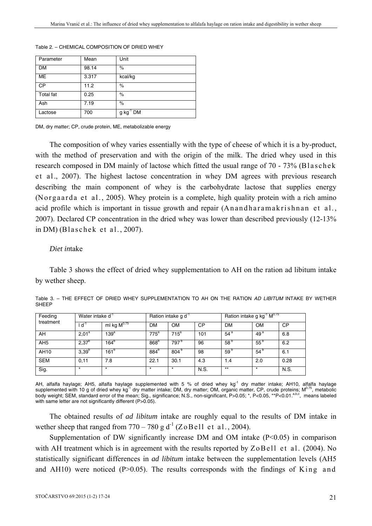| Parameter | Mean  | Unit           |
|-----------|-------|----------------|
| DM        | 98.14 | $\%$           |
| ME        | 3.317 | kcal/kg        |
| <b>CP</b> | 11.2  | $\%$           |
| Total fat | 0.25  | %              |
| Ash       | 7.19  | $\%$           |
| Lactose   | 700   | $g kg^{-1} DM$ |

Table 2. – CHEMICAL COMPOSITION OF DRIED WHEY

DM, dry matter; CP, crude protein, ME, metabolizable energy

The composition of whey varies essentially with the type of cheese of which it is a by-product, with the method of preservation and with the origin of the milk. The dried whey used in this research composed in DM mainly of lactose which fitted the usual range of 70 - 73% (Blaschek et al., 2007). The highest lactose concentration in whey DM agrees with previous research describing the main component of whey is the carbohydrate lactose that supplies energy (No r g a a r da e t a l ., 2005). Whey protein is a complete, high quality protein with a rich amino acid profile which is important in tissue growth and repair (An and haramakrish nan et al., 2007). Declared CP concentration in the dried whey was lower than described previously (12-13% in DM) (Blaschek et al.,  $2007$ ).

#### *Diet in*take

Table 3 shows the effect of dried whey supplementation to AH on the ration ad libitum intake by wether sheep.

| Feeding         |                   | Water intake d <sup>-1</sup> |                  | Ration intake g d |           |                 | Ration intake g kg <sup>-1</sup> M <sup>0.75</sup> |           |  |
|-----------------|-------------------|------------------------------|------------------|-------------------|-----------|-----------------|----------------------------------------------------|-----------|--|
| treatment       | ď                 | ml kg $M^{0.75}$             | DM               | <b>OM</b>         | <b>CP</b> | <b>DM</b>       | <b>OM</b>                                          | <b>CP</b> |  |
| AH              | $2,01^a$          | 139 <sup>a</sup>             | $775^a$          | 715 <sup>a</sup>  | 101       | 54 <sup>a</sup> | 49 <sup>a</sup>                                    | 6.8       |  |
| AH <sub>5</sub> | $2,37^{b}$        | $164^{b}$                    | 868 <sup>b</sup> | 797 <sup>b</sup>  | 96        | 58 <sup>b</sup> | $55^{\circ}$                                       | 6.2       |  |
| AH10            | 3.39 <sup>b</sup> | 161 <sup>b</sup>             | 884 <sup>b</sup> | 804 <sup>b</sup>  | 98        | 59 <sup>b</sup> | 54 <sup>t</sup>                                    | 6.1       |  |
| <b>SEM</b>      | 0,11              | 7.8                          | 22.1             | 30.1              | 4.3       | 1.4             | 2.0                                                | 0.28      |  |
| Sig.            | $\star$           | $\star$                      | $\star$          | $\star$           | N.S.      | $***$           | $\star$                                            | N.S.      |  |

Table 3. – THE EFFECT OF DRIED WHEY SUPPLEMENTATION TO AH ON THE RATION *AD LIBITUM* INTAKE BY WETHER **SHEEP** 

AH, alfalfa haylage; AH5, alfalfa haylage supplemented with 5 % of dried whey kg<sup>-1</sup> dry matter intake; AH10, alfalfa haylage supplemented with 10 g of dried whey kg<sup>-1</sup> dry matter intake; DM, dry matter; OM, organic matter, CP, crude proteins; M<sup>0.75</sup>, metabolic body weight; SEM, standard error of the mean; Sig., significance; N.S., non-significant, P>0.05; \*, P<0.05, \*\*P<0.01.<sup>a,b,c</sup>, means labeled with same letter are not significantly different (P>0.05).

The obtained results of *ad libitum* intake are roughly equal to the results of DM intake in wether sheep that ranged from  $770 - 780$  g d<sup>-1</sup> (Z o B e l l e t a l . , 2004).

Supplementation of DW significantly increase DM and OM intake  $(P<0.05)$  in comparison with AH treatment which is in agreement with the results reported by  $ZoBell$  et al. (2004). No statistically significant differences in *ad libitum* intake between the supplementation levels (AH5 and AH10) were noticed (P $> 0.05$ ). The results corresponds with the findings of King and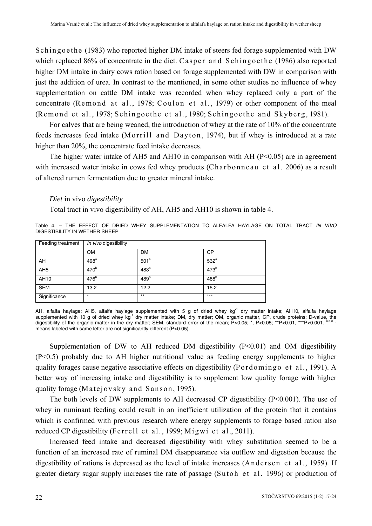Schingoethe (1983) who reported higher DM intake of steers fed forage supplemented with DW which replaced 86% of concentrate in the diet. Casper and Schingoethe (1986) also reported higher DM intake in dairy cows ration based on forage supplemented with DW in comparison with just the addition of urea. In contrast to the mentioned, in some other studies no influence of whey supplementation on cattle DM intake was recorded when whey replaced only a part of the concentrate (Remond at al., 1978; Coulon et al., 1979) or other component of the meal (Remond et al., 1978; Schingoethe et al., 1980; Schingoethe and Skyberg, 1981).

For calves that are being weaned, the introduction of whey at the rate of 10% of the concentrate feeds increases feed intake (Morrill and Dayton, 1974), but if whey is introduced at a rate higher than 20%, the concentrate feed intake decreases.

The higher water intake of AH5 and AH10 in comparison with AH ( $P \le 0.05$ ) are in agreement with increased water intake in cows fed whey products (Charbonneau et al. 2006) as a result of altered rumen fermentation due to greater mineral intake.

## *Diet* in vivo *digestibility*

Total tract in vivo digestibility of AH, AH5 and AH10 is shown in table 4.

Table 4. – THE EFFECT OF DRIED WHEY SUPPLEMENTATION TO ALFALFA HAYLAGE ON TOTAL TRACT *IN VIVO*  DIGESTIBILITY IN WETHER SHEEP

| Feeding treatment | In vivo digestibility |                  |                  |  |
|-------------------|-----------------------|------------------|------------------|--|
|                   | <b>OM</b>             | <b>DM</b>        | <b>CP</b>        |  |
| AH                | 498 <sup>a</sup>      | 501 <sup>a</sup> | 532 <sup>a</sup> |  |
| AH <sub>5</sub>   | 470 <sup>b</sup>      | 483 <sup>b</sup> | 473 <sup>b</sup> |  |
| AH10              | 476 <sup>b</sup>      | 489 <sup>b</sup> | 488 <sup>b</sup> |  |
| <b>SEM</b>        | 13.2                  | 12.2             | 15.2             |  |
| Significance      | $\star$               | $***$            | $***$            |  |

AH, alfalfa haylage; AH5, alfalfa haylage supplemented with 5 g of dried whey kg<sup>-1</sup> dry matter intake; AH10, alfalfa haylage supplemented with 10 g of dried whey kg<sup>-1</sup> dry matter intake; DM, dry matter; OM, organic matter, CP, crude proteins; D-value, the digestibility of the organic matter in the dry matter; SEM, standard error of the mean; P>0.05; \*, P<0.05; \*\*P<0.01, \*\*\*P<0.001. means labeled with same letter are not significantly different (P>0.05).

Supplementation of DW to AH reduced DM digestibility  $(P<0.01)$  and OM digestibility (P<0.5) probably due to AH higher nutritional value as feeding energy supplements to higher quality forages cause negative associative effects on digestibility (Pordomingo et al., 1991). A better way of increasing intake and digestibility is to supplement low quality forage with higher quality forage (Matejovsky and Sanson, 1995).

The both levels of DW supplements to AH decreased CP digestibility (P<0.001). The use of whey in ruminant feeding could result in an inefficient utilization of the protein that it contains which is confirmed with previous research where energy supplements to forage based ration also reduced CP digestibility (Ferrell et al., 1999; Migwi et al., 2011).

Increased feed intake and decreased digestibility with whey substitution seemed to be a function of an increased rate of ruminal DM disappearance via outflow and digestion because the digestibility of rations is depressed as the level of intake increases (Andersen et al., 1959). If greater dietary sugar supply increases the rate of passage (Sutoh et al. 1996) or production of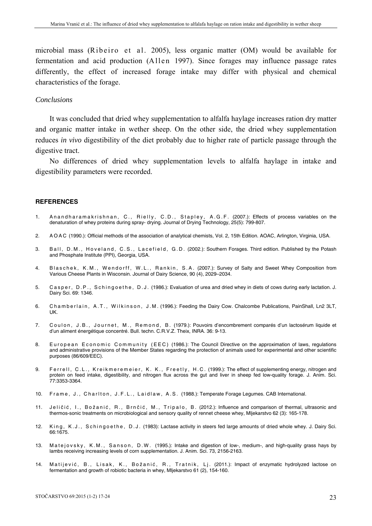microbial mass (Ribeiro et al. 2005), less organic matter (OM) would be available for fermentation and acid production  $(A \parallel en \perp 1997)$ . Since forages may influence passage rates differently, the effect of increased forage intake may differ with physical and chemical characteristics of the forage.

#### *Conclusions*

It was concluded that dried whey supplementation to alfalfa haylage increases ration dry matter and organic matter intake in wether sheep. On the other side, the dried whey supplementation reduces *in vivo* digestibility of the diet probably due to higher rate of particle passage through the digestive tract.

No differences of dried whey supplementation levels to alfalfa haylage in intake and digestibility parameters were recorded.

#### **REFERENCES**

- 1. An and haramakrishnan, C., Rielly, C.D., Stapley, A.G.F. (2007.): Effects of process variables on the denaturation of whey proteins during spray- drying. Journal of Drying Technology, 25(5): 799-807.
- 2. A O A C (1990.): Official methods of the association of analytical chemists, Vol. 2, 15th Edition. AOAC, Arlington, Virginia, USA.
- 3. Ball, D.M., Hoveland, C.S., Lacefield, G.D. (2002.): Southern Forages. Third edition. Published by the Potash and Phosphate Institute (PPI), Georgia, USA.
- 4. Blaschek, K.M., Wendorff, W.L., Rankin, S.A. (2007.): Survey of Salty and Sweet Whey Composition from Various Cheese Plants in Wisconsin. Journal of Dairy Science, 90 (4), 2029–2034.
- 5. Casper, D.P., Schingoethe, D.J. (1986.): Evaluation of urea and dried whey in diets of cows during early lactation. J. Dairy Sci. 69: 1346.
- 6. Chamberlain, A.T., Wilkinson, J.M. (1996.): Feeding the Dairy Cow. Chalcombe Publications, PainShall, Ln2 3LT, UK.
- 7. Coulon, J.B., Journet, M., Remond, B. (1979.): Pouvoirs d'encombrement comparés d'un lactosérum liquide et d'un aliment énergétique concentré. Bull. techn. C.R.V.Z. Theix, INRA. 36: 9-13.
- 8. European Economic Community (EEC) (1986.): The Council Directive on the approximation of laws, regulations and administrative provisions of the Member States regarding the protection of animals used for experimental and other scientific purposes (86/609/EEC).
- 9. Ferrell, C.L., Kreikmeremeier, K. K., Freetly, H.C. (1999.): The effect of supplementing energy, nitrogen and protein on feed intake, digestibility, and nitrogen flux across the gut and liver in sheep fed low-quality forage. J. Anim. Sci. 77:3353-3364.
- 10. Frame, J., Charlton, J.F.L., Laidlaw, A.S. (1988.): Temperate Forage Legumes. CAB International.
- 11. Jeličić, I., Božanić, R., Brnčić, M., Tripalo, B. (2012.): Influence and comparison of thermal, ultrasonic and thermos-sonic treatments on microbiological and sensory quality of rennet cheese whey, Mljekarstvo 62 (3): 165-178.
- 12. King, K.J., Schingoethe, D.J. (1983): Lactase activity in steers fed large amounts of dried whole whey. J. Dairy Sci. 66:1675.
- 13. Matejovsky, K.M., Sanson, D.W. (1995.): Intake and digestion of low-, medium-, and high-quality grass hays by lambs receiving increasing levels of corn supplementation. J. Anim. Sci. 73, 2156-2163.
- 14. Matijević, B., Lisak, K., Božanić, R., Tratnik, Lj. (2011.): Impact of enzymatic hydrolyzed lactose on fermentation and growth of robiotic bacteria in whey, Mljekarstvo 61 (2), 154-160.